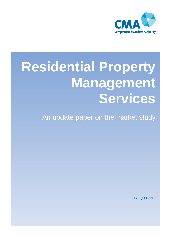

# **Residential Property Management Services**

An update paper on the market study

1 August 2014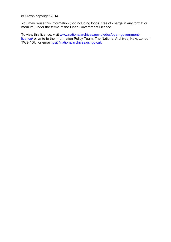© Crown copyright 2014

You may reuse this information (not including logos) free of charge in any format or medium, under the terms of the Open Government Licence.

To view this licence, visit [www.nationalarchives.gov.uk/doc/open-government](http://www.nationalarchives.gov.uk/doc/open-government-licence/)[licence/](http://www.nationalarchives.gov.uk/doc/open-government-licence/) or write to the Information Policy Team, The National Archives, Kew, London TW9 4DU, or email: [psi@nationalarchives.gsi.gov.uk.](mailto:psi@nationalarchives.gsi.gov.uk)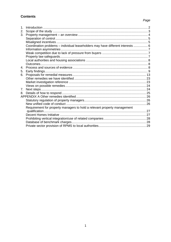## **Contents**

## Page

| 1.             |                                                                                 |  |
|----------------|---------------------------------------------------------------------------------|--|
| 2.             |                                                                                 |  |
| 3.             |                                                                                 |  |
|                |                                                                                 |  |
|                |                                                                                 |  |
|                | Coordination problems - individual leaseholders may have different interests  6 |  |
|                |                                                                                 |  |
|                |                                                                                 |  |
|                |                                                                                 |  |
|                |                                                                                 |  |
|                |                                                                                 |  |
| $\mathbf{4}$ . |                                                                                 |  |
| 5.             |                                                                                 |  |
| 6.             |                                                                                 |  |
|                |                                                                                 |  |
|                |                                                                                 |  |
|                |                                                                                 |  |
| 7 <sub>1</sub> |                                                                                 |  |
| 8.             |                                                                                 |  |
|                |                                                                                 |  |
|                |                                                                                 |  |
|                |                                                                                 |  |
|                | Requirement for property managers to hold a relevant property management        |  |
|                |                                                                                 |  |
|                |                                                                                 |  |
|                |                                                                                 |  |
|                |                                                                                 |  |
|                |                                                                                 |  |
|                |                                                                                 |  |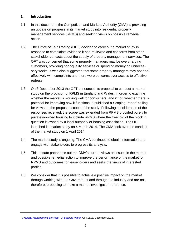## **1. Introduction**

- 1.1 In this document, the Competition and Markets Authority (CMA) is providing an update on progress in its market study into residential property management services (RPMS) and seeking views on possible remedial action.
- 1.2 The Office of Fair Trading (OFT) decided to carry out a market study in response to complaints evidence it had reviewed and concerns from other stakeholder contacts about the supply of property management services. The OFT was concerned that some property managers may be overcharging customers, providing poor-quality services or spending money on unnecessary works. It was also suggested that some property managers may not deal effectively with complaints and there were concerns over access to effective redress.
- 1.3 On 3 December 2013 the OFT announced its proposal to conduct a market study on the provision of RPMS in England and Wales, in order to examine whether the market is working well for consumers, and if not, whether there is potential for improving how it functions. It published a Scoping Paper<sup>1</sup> calling for views on the proposed scope of the study. Following consideration of the responses received, the scope was extended from RPMS provided purely to privately-owned housing to include RPMS where the freehold of the block in question is owned by a local authority or housing association. The OFT launched its market study on 4 March 2014. The CMA took over the conduct of the market study on 1 April 2014.
- 1.4 The market study is ongoing. The CMA continues to obtain information and engage with stakeholders to progress its analysis.
- 1.5 This update paper sets out the CMA's current views on issues in the market and possible remedial action to improve the performance of the market for RPMS and outcomes for leaseholders and seeks the views of interested parties.
- 1.6 We consider that it is possible to achieve a positive impact on the market through working with the Government and through the industry and are not, therefore, proposing to make a market investigation reference.

<sup>1</sup> *[Property Management Services –](https://assets.digital.cabinet-office.gov.uk/media/53355cdfe5274a571e000011/OFT1513s.pdf) A Scoping Paper*, OFT1513, December 2013.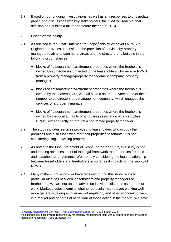1.7 Based on our ongoing investigations, as well as any responses to this update paper, and discussions with key stakeholders, the CMA will reach a final decision and publish a full report before the end of 2014.

# **2. Scope of the study**

- 2.1 As outlined in the Final Statement of Scope, $<sup>2</sup>$  this study covers RPMS in</sup> England and Wales. It considers the provision of services by property managers relating to communal areas and the structure of a building in the following circumstances:
	- blocks of flats/apartments/retirement properties where the freehold is owned by someone unconnected to the leaseholders who receive RPMS from a property manager/property management company (property manager $)^3$
	- blocks of flats/apartments/retirement properties where the freehold is owned by the leaseholders, who all have a share and vote some of their number to be directors of a management company, which engages the services of a property manager
	- blocks of flats/apartments/retirement properties where the freehold is owned by the local authority or a housing association which supplies RPMS, either directly or through a contracted property manager
- 2.2 The study includes services provided to leaseholders who occupy the premises and also those who rent their properties to tenants. It is not considering single dwelling properties.
- 2.3 As noted in the Final Statement of Scope, paragraph 3.12, this study is not undertaking an assessment of the legal framework that underpins freehold and leasehold arrangements. We are only considering the legal relationship between leaseholders and freeholders in so far as it impacts on the supply of RPMS.
- 2.4 Many of the submissions we have received during this study relate to particular disputes between leaseholders and property managers or freeholders. We are not able to advise on individual disputes as part of our work. Market studies examine whether particular markets are working well more generally, taking an overview of regulatory and other economic drivers in a market and patterns of behaviour of those acting in the market. We have

<sup>2</sup> *[Property Management Services –](https://assets.digital.cabinet-office.gov.uk/media/53340c66ed915d6938000009/final_statement_of_scope_document.pdf) Final Statement of Scope*, OFT1524, March 2014.

<sup>3</sup> Including those blocks where responsibility for property management rests with a right-to-manage or resident management company – see paragraph 3.5.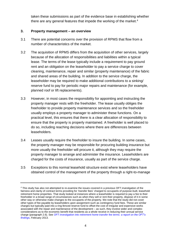taken these submissions as part of the evidence base in establishing whether there are any general features that impede the working of the market.<sup>4</sup>

## **3. Property management – an overview**

- 3.1 There are potential concerns over the provision of RPMS that flow from a number of characteristics of the market.
- 3.2 The acquisition of RPMS differs from the acquisition of other services, largely because of the allocation of responsibilities and liabilities within a typical lease. The terms of the lease typically include a requirement to pay ground rent and an obligation on the leaseholder to pay a service charge to cover cleaning, maintenance, repair and similar (property maintenance) of the fabric and shared areas of the building. In addition to the service charge, the leaseholder may be required to make additional contributions to a sinking/ reserve fund to pay for periodic major repairs and maintenance (for example, planned roof or lift replacements).
- 3.3 However, in most cases the responsibility for appointing and instructing the property manager rests with the freeholder. The lease usually obliges the freeholder to provide property maintenance services and so the freeholder usually employs a property manager to administer these functions. On a practical level, this ensures that there is a clear allocation of responsibility to ensure that the property is properly maintained. A freeholder is well placed to do so, including reaching decisions where there are differences between leaseholders.
- 3.4 Leases usually require the freeholder to insure the building. In some cases, the property manager may be responsible for procuring building insurance but more usually the freeholder will procure it, although they may require the property manager to arrange and administer the insurance. Leaseholders are charged for the costs of insurance, usually as part of the service charge.
- 3.5 Exceptions to this normal leasehold structure exist where leaseholders have obtained control of the management of the property through a right-to-manage

<sup>4</sup> This study has also not attempted to re-examine the issues covered in a previous OFT investigation of the fairness and clarity of contract terms providing for 'transfer fees' charged to occupants of purpose-built, leasehold retirement home properties. That study looked at instances where a leaseholder is required to pay a fee to their freeholder in a broad range of circumstances such as when they sell or rent their property, dispose of it in some other way or otherwise make changes to the occupants of the property. We note that the study did not cover other types of fee payable by leaseholders upon assignment such as contingency fund fees. These are similar charges but typically paid into a ring-fenced reserve fund to offset the cost of irregular and expensive works associated with the repair and maintenance of the development – as such, they involve wider and complex considerations as to the economic benefit that residents as a whole receive in reducing their annual service charge (paragraph 2.6). See *[OFT investigation into retirement home transfer fee terms:](http://webarchive.nationalarchives.gov.uk/20140402142426/http:/www.oft.gov.uk/shared_oft/consumer-enforcement/retirement-homes/oft1476.pdf) a report on the OFT's [findings](http://webarchive.nationalarchives.gov.uk/20140402142426/http:/www.oft.gov.uk/shared_oft/consumer-enforcement/retirement-homes/oft1476.pdf)*, February 2013.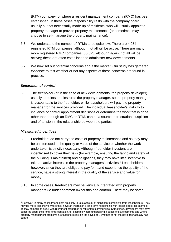(RTM) company, or where a resident management company (RMC) has been established. In these cases responsibility rests with the company board, usually but not necessarily made up of residents, who will usually appoint a property manager to provide property maintenance (or sometimes may choose to self-manage the property maintenance).

- 3.6 We understand the number of RTMs to be quite low. There are 4,954 registered RTM companies, although not all will be active. There are many more registered RMC companies (80,523, although again, not all will be active); these are often established to administer new developments.
- 3.7 We now set out potential concerns about the market. Our study has gathered evidence to test whether or not any aspects of these concerns are found in practice.

## *Separation of control*

3.8 The freeholder (or in the case of new developments, the property developer) usually appoints and instructs the property manager, so the property manager is accountable to the freeholder, while leaseholders will pay the property manager for the services provided. The individual leaseholder's inability to influence or control appointment decisions or determine the work that is done, other than through an RMC or RTM, can be a source of frustration, suspicion and of tension in the relationship between the parties.

## *Misaligned incentives*

- 3.9 Freeholders do not carry the costs of property maintenance and so they may be uninterested in the quality or value of the service or whether the work undertaken is strictly necessary. Although freeholder investors are incentivised to cover their risks (for example, ensuring the fabric and safety of the building is maintained) and obligations, they may have little incentive to take an active interest in the property managers' activities.<sup>5</sup> Leaseholders, however, since they are obliged to pay for it and experience the quality of the service, have a strong interest in the quality of the service and value for money.
- 3.10 In some cases, freeholders may be vertically integrated with property managers (ie under common ownership and control). There may be some

<sup>5</sup> However, in many cases freeholders are likely to take account of significant complaints from leaseholders. They may be more responsive where they have an interest in a long-term relationship with leaseholders, for example as may sometimes occur with retirement properties or retirement communities. Sometimes, developers may have concerns about their long-term reputation, for example where undertaking a series of developments and where property management problems are taken to reflect on the developer, whether or not the developer actually has control.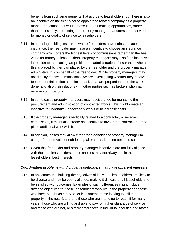benefits from such arrangements that accrue to leaseholders, but there is also an incentive on the freeholder to appoint the related company as a property manager because that will increase its profit-making opportunities, rather than, necessarily, appointing the property manager that offers the best value for money or quality of service to leaseholders.

- 3.11 In choosing building insurance where freeholders have rights to place insurance, the freeholder may have an incentive to choose an insurance company which offers the highest levels of commissions rather than the best value for money to leaseholders. Property managers may also face incentives in relation to the placing, acquisition and administration of insurance (whether this is placed by them, or placed by the freeholder and the property manager administers this on behalf of the freeholder). While property managers may not directly receive commissions, we are investigating whether they receive fees for administration and similar tasks that are proportionate to the work done, and also their relations with other parties such as brokers who may receive commissions.
- 3.12 In some cases property managers may receive a fee for managing the procurement and administration of contracted works. This might create an incentive to undertake unnecessary works or to increase costs.
- 3.13 If the property manager is vertically related to a contractor, or receives commission, it might also create an incentive to favour that contractor and to place additional work with it.
- 3.14 In addition, leases may allow either the freeholder or property manager to charge for approvals for sub-letting, alterations, keeping pets and so on.
- 3.15 Given that freeholder and property manager incentives are not fully aligned with those of leaseholders, these choices may not always be in the leaseholders' best interests.

## *Coordination problems – individual leaseholders may have different interests*

3.16 In any communal building the objectives of individual leaseholders are likely to be diverse and may be poorly aligned, making it difficult for all leaseholders to be satisfied with outcomes. Examples of such differences might include differing objectives for those leaseholders who live in the property and those who have bought as a buy-to-let investment, those looking to sell their property in the near future and those who are intending to retain it for many years, those who are willing and able to pay for higher standards of service and those who are not, or simply differences in individual priorities and tastes.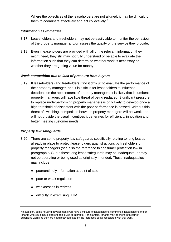Where the objectives of the leaseholders are not aligned, it may be difficult for them to coordinate effectively and act collectively.<sup>6</sup>

## *Information asymmetries*

- 3.17 Leaseholders and freeholders may not be easily able to monitor the behaviour of the property manager and/or assess the quality of the service they provide.
- 3.18 Even if leaseholders are provided with all of the relevant information they might need, they still may not fully understand or be able to evaluate the information such that they can determine whether work is necessary or whether they are getting value for money.

## *Weak competition due to lack of pressure from buyers*

3.19 If leaseholders (and freeholders) find it difficult to evaluate the performance of their property manager, and it is difficult for leaseholders to influence decisions on the appointment of property managers, it is likely that incumbent property managers will face little threat of being replaced. Significant pressure to replace underperforming property managers is only likely to develop once a high threshold of discontent with the poor performance is passed. Without this threat of switching, competition between property managers will be weak and will not provide the usual incentives it generates for efficiency, innovation and better meeting customer needs.

# *Property law safeguards*

- 3.20 There are some property law safeguards specifically relating to long leases already in place to protect leaseholders against actions by freeholders or property managers (see also the reference to consumer protection law in paragraph 6.4), but these long lease safeguards may be inadequate, or may not be operating or being used as originally intended. These inadequacies may include:
	- poor/untimely information at point of sale
	- poor or weak regulation
	- **Weaknesses in redress**
	- difficulty in exercising RTM

<sup>6</sup> In addition, some housing developments will have a mixture of leaseholders, commercial leaseholders and/or tenants who could have different objectives or interests. For example, tenants may be more in favour of expensive works as they are not directly affected by the increased costs associated with that work.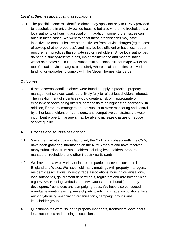## *Local authorities and housing associations*

3.21 The possible concerns identified above may apply not only to RPMS provided to leaseholders in privately-owned housing but also where the freeholder is a local authority or housing association. In addition, some further issues can arise in these cases. We were told that these organisations may have incentives to cross-subsidise other activities from service charges (eg the cost of upkeep of other properties), and may be less efficient or have less robust procurement practices than private sector freeholders. Since local authorities do not run sinking/reserve funds, major maintenance and modernisation works on estates could lead to substantial additional bills for major works on top of usual service charges, particularly where local authorities received funding for upgrades to comply with the 'decent homes' standards.

## *Outcomes*

3.22 If the concerns identified above were found to apply in practice, property management services would be unlikely fully to reflect leaseholders' interests. The misalignment of incentives would create a risk of inappropriate or excessive services being offered, or for costs to be higher than necessary. In addition, if property managers are not subject to close monitoring and control by either leaseholders or freeholders, and competitive constraints are weak, incumbent property managers may be able to increase charges or reduce service quality.

## **4. Process and sources of evidence**

- 4.1 Since the market study was launched, the OFT, and subsequently the CMA, have been gathering information on the RPMS market and have received many submissions from stakeholders including leaseholders, property managers, freeholders and other industry participants.
- 4.2 We have met a wide variety of interested parties at several locations in England and Wales. We have held many meetings with property managers, residents' associations, industry trade associations, housing organisations, local authorities, government departments, regulators and advisory services (eg LEASE, Housing Ombudsman, HM Courts and Tribunals), property developers, freeholders and campaign groups. We have also conducted roundtable meetings with panels of participants from trade associations, local authority/housing association organisations, campaign groups and leaseholder groups.
- 4.3 Questionnaires were issued to property managers, freeholders, developers, local authorities and housing associations.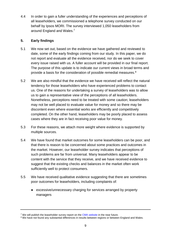4.4 In order to gain a fuller understanding of the experiences and perceptions of all leaseholders, we commissioned a telephone survey conducted on our behalf by Ipsos MORI. The survey interviewed 1,050 leaseholders from around England and Wales.<sup>7</sup>

# **5. Early findings**

- 5.1 We now set out, based on the evidence we have gathered and reviewed to date, some of the early findings coming from our study. In this paper, we do not report and evaluate all the evidence received, nor do we seek to cover every issue raised with us. A fuller account will be provided in our final report. The purpose of this update is to indicate our current views in broad terms and provide a basis for the consideration of possible remedial measures.<sup>8</sup>
- 5.2 We are also mindful that the evidence we have received will reflect the natural tendency for those leaseholders who have experienced problems to contact us. One of the reasons for undertaking a survey of leaseholders was to allow us to gain a representative view of the perceptions of all leaseholders. Nonetheless, perceptions need to be treated with some caution; leaseholders may not be well placed to evaluate value for money and so there may be discontent even where essential works are efficiently and competitively completed. On the other hand, leaseholders may be poorly placed to assess cases where they are in fact receiving poor value for money.
- 5.3 For these reasons, we attach more weight where evidence is supported by multiple sources.
- 5.4 We have found that market outcomes for some leaseholders can be poor, and that there is reason to be concerned about some practices and outcomes in the market. However, our leaseholder survey indicates that perceptions of such problems are far from universal. Many leaseholders appear to be content with the service that they receive, and we have received evidence to suggest that the existing checks and balances in the market often work sufficiently well to protect consumers.
- 5.5 We have received qualitative evidence suggesting that there are sometimes poor outcomes for leaseholders, including complaints of:
	- excessive/unnecessary charging for services arranged by property managers

<sup>&</sup>lt;sup>7</sup> We will publish the leaseholder survey report on the [CMA website](https://www.gov.uk/cma-cases/residential-property-management-services) in the near future.

<sup>&</sup>lt;sup>8</sup> We have not found any substantial differences in results between regions or between England and Wales.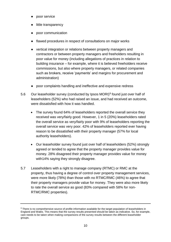- poor service
- little transparency
- poor communication
- flawed procedures in respect of consultations on major works
- vertical integration or relations between property managers and contractors or between property managers and freeholders resulting in poor value for money (including allegations of practices in relation to building insurance – for example, where it is believed freeholders receive commissions, but also where property managers, or related companies such as brokers, receive 'payments' and margins for procurement and administration)
- poor complaints handling and ineffective and expensive redress
- 5.6 Our leaseholder survey (conducted by Ipsos MORI)<sup>9</sup> found just over half of leaseholders (52%) who had raised an issue, and had received an outcome, were dissatisfied with how it was handled.
	- The survey found 64% of leaseholders reported the overall service they received was very/fairly good. However, 1 in 5 (20%) leaseholders rated the overall service as very/fairly poor with 9% of leaseholders reporting the overall service was very poor. 42% of leaseholders reported ever having reason to be dissatisfied with their property manager (57% for local authority leaseholders).
	- Our leaseholder survey found just over half of leaseholders (52%) strongly agreed or tended to agree that the property manager provides value for money. 28% disagreed their property manager provides value for money with14% saving they strongly disagree.
- 5.7 Leaseholders with a right to manage company (RTMC) or RMC at the property, thus having a degree of control over property management services, were more likely (78%) than those with no RTMC/RMC (46%) to agree that their property managers provide value for money. They were also more likely to rate the overall service as good (83% compared with 58% for non-RTMC/RMC properties).

<sup>&</sup>lt;sup>9</sup> There is no comprehensive source of profile information available for the target population of leaseholders in England and Wales. This means that the survey results presented should be taken as indicative. So, for example, care needs to be taken when making comparisons of the survey results between the different leaseholder groups.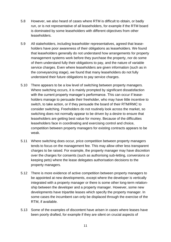- 5.8 However, we also heard of cases where RTM is difficult to obtain, or badly run, or is not representative of all leaseholders, for example if the RTM board is dominated by some leaseholders with different objectives from other leaseholders.
- 5.9 All stakeholders, including leaseholder representatives, agreed that leaseholders have poor awareness of their obligations as leaseholders. We found that leaseholders generally do not understand how arrangements for property management systems work before they purchase the property, nor do some of them understand fully their obligations to pay, and the nature of variable service charges. Even where leaseholders are given information (such as in the conveyancing stage), we found that many leaseholders do not fully understand their future obligations to pay service charges.
- 5.10 There appears to be a low level of switching between property managers. Where switching occurs, it is mainly prompted by significant dissatisfaction with the current property manager's performance. This can occur if leaseholders manage to persuade their freeholder, who may have little incentive to switch, to take action, or if they persuade the board of their RTM/RMC to consider switching. Freeholders do not routinely look across the market, so switching does not normally appear to be driven by a desire to ensure that leaseholders are getting best value for money. Because of the difficulties leaseholders face in coordinating and exercising control and choice, competition between property managers for existing contracts appears to be weak.
- 5.11 Where switching does occur, price competition between property managers tends to focus on the management fee. This may allow other less transparent charges to be raised. For example, the property manager may have discretion over the charges for consents (such as authorising sub-letting, conversions or keeping pets) where the lease delegates authorisation decisions to the property managers.
- 5.12 There is more evidence of active competition between property managers to be appointed at new developments, except where the developer is vertically integrated with a property manager or there is some other long-term relationship between the developer and a property manager. However, some new developments have tripartite leases which specify the property manager. In some cases the incumbent can only be displaced through the exercise of the RTM, if available.
- 5.13 Some of the examples of discontent have arisen in cases where leases have been poorly drafted, for example if they are silent on crucial aspects of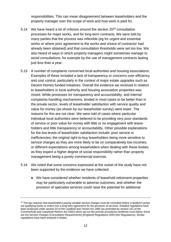responsibilities. This can mean disagreement between leaseholders and the property manager over the scope of work and how work is paid for.

- 5.14 We have heard a lot of criticism around the section 20<sup>10</sup> consultation processes for major works, and for long-term contracts. We were told by many parties that the process was inflexible (eg for urgent and essential works or where prior agreement to the works and choice of contractor had already been obtained) and that consultation thresholds were set too low. We also heard of ways in which property managers might sometimes manage to avoid consultations, for example by the use of management contracts lasting just less than a year.
- 5.15 A number of complaints concerned local authorities and housing associations. Examples of these included a lack of transparency or concerns over efficiency and cost control, particularly in the context of major estate upgrades such as Decent Homes funded initiatives. Overall the evidence we received in relation to leaseholders in local authority and housing association properties was mixed. While processes for transparency and accountability, and internal complaints-handling mechanisms, tended in most cases to be better than in the private sector, levels of leaseholder satisfaction with service quality and value for money (as shown by our leaseholder survey) were lower. The reasons for this are not clear. We were told of cases where particular individual local authorities were believed to be providing very poor standards of service or poor value for money with little or no engagement with leaseholders and little transparency or accountability. Other possible explanations for the low levels of leaseholder satisfaction include: poor service or inefficiencies; the original right-to-buy leaseholders being more sensitive to service charges as they are more likely to be on comparatively low incomes; or different expectations among leaseholders when dealing with these bodies as they expect a higher degree of social responsibility rather than property management being a purely commercial exercise.
- 5.16 We noted that some concerns expressed at the outset of the study have not been supported by the evidence we have collected:
	- We have considered whether residents of leasehold retirement properties may be particularly vulnerable to adverse outcomes, and whether the provision of specialist services could raise the potential for additional

 $10$  The law requires that leaseholders paying variable service charges must be consulted before a landlord carries out qualifying works or enters into a long-term agreement for the provision of services. Detailed regulations have been produced under section 20 of the Landlord and Tenant Act 1985 (as amended by section 151 of the Commonhold and Leasehold Reform Act 2002) which set out the precise procedures landlords must follow; these are the Service Charges (Consultation Requirements) (England) Regulations 2003 (the Regulations). Similar regulations have been enacted in Wales.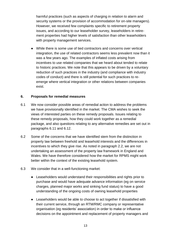harmful practices (such as aspects of charging in relation to alarm and security systems or the provision of accommodation for on-site managers). However, we received few complaints specific to retirement property issues, and according to our leaseholder survey, leaseholders in retirement properties had higher levels of satisfaction than other leaseholders with property management services.

● While there is some use of tied contractors and concerns over vertical integration, the use of related contractors seems less prevalent now than it was a few years ago. The examples of inflated costs arising from incentives to use related companies that we heard about tended to relate to historic practices. We note that this appears to be driven by a voluntary reduction of such practices in the industry (and compliance with industry codes of conduct) and there is still potential for such practices to reemerge where vertical integration or other relations between companies exist.

## **6. Proposals for remedial measures**

- 6.1 We now consider possible areas of remedial action to address the problems we have provisionally identified in the market. The CMA wishes to seek the views of interested parties on these remedy proposals. Issues relating to these remedy proposals, how they could work together as a remedial package, and also questions relating to any alternative remedies are set out in paragraphs 6.11 and 6.12.
- 6.2 Some of the concerns that we have identified stem from the distinction in property law between freehold and leasehold interests and the differences in incentives to which they give rise. As noted in paragraph 2.2, we are not undertaking an assessment of the property law framework in England and Wales. We have therefore considered how the market for RPMS might work better within the context of the existing leasehold system.
- 6.3 We consider that in a well-functioning market:
	- Leaseholders would understand their responsibilities and rights prior to purchase and would have adequate advance information (eg on service charges, planned major works and sinking fund status) to have a good understanding of the ongoing costs of owning leasehold properties
	- Leaseholders would be able to choose to act together if dissatisfied with their current service, through an RTM/RMC company or representative organisation (eg residents' association) in order to make or influence decisions on the appointment and replacement of property managers and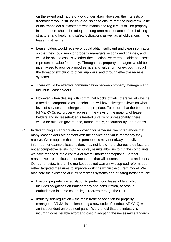on the extent and nature of work undertaken. However, the interests of freeholders would still be covered, so as to ensure that the long-term value of the freeholder's investment was maintained (eg it must still be properly insured, there should be adequate long-term maintenance of the building structure, and health and safety obligations as well as all obligations in the lease must be met).

- Leaseholders would receive or could obtain sufficient and clear information so that they could monitor property managers' actions and charges, and would be able to assess whether these actions were reasonable and costs represented value for money. Through this, property managers would be incentivised to provide a good service and value for money, both through the threat of switching to other suppliers, and through effective redress systems.
- There would be effective communication between property managers and individual leaseholders.
- However, when dealing with communal blocks of flats, there will always be a need to compromise as leaseholders will have divergent views on what level of services and charges are appropriate. To ensure that the boards of RTMs/RMCs etc properly represent the views of the majority of leaseholders and no leaseholder is treated unfairly or unreasonably, there would be rules on governance, transparency, accountability and redress.
- 6.4 In determining an appropriate approach for remedies, we noted above that many leaseholders are content with the service and value for money they receive. We recognise that these perceptions may not always be fully informed, for example leaseholders may not know if the charges they face are not at competitive levels, but the survey results allow us to put the complaints we have received into a context of overall market perceptions. For that reason, we are cautious about measures that will increase burdens and costs. Our current view is that the market does not warrant widespread reform, but rather targeted measures to improve workings within the current model. We also note the existence of current redress systems and/or safeguards through:
	- Existing property law legislation to protect long leaseholders, which includes obligations on transparency and consultation, access to ombudsmen in some cases, legal redress through the FTT.
	- $\bullet$  Industry self-regulation the main trade association for property managers, ARMA, is implementing a new code of conduct ARMA-Q with an independent enforcement panel. We are told that the industry is incurring considerable effort and cost in adopting the necessary standards.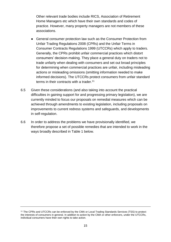Other relevant trade bodies include RICS, Association of Retirement Home Managers etc which have their own standards and codes of practice. However, many property managers are not members of these associations.

- General consumer protection law such as the Consumer Protection from Unfair Trading Regulations 2008 (CPRs) and the Unfair Terms in Consumer Contracts Regulations 1999 (UTCCRs) which apply to traders. Generally, the CPRs prohibit unfair commercial practices which distort consumers' decision-making. They place a general duty on traders not to trade unfairly when dealing with consumers and set out broad principles for determining when commercial practices are unfair, including misleading actions or misleading omissions (omitting information needed to make informed decisions). The UTCCRs protect consumers from unfair standard terms in their contracts with a trader.<sup>11</sup>
- 6.5 Given these considerations (and also taking into account the practical difficulties in gaining support for and progressing primary legislation), we are currently minded to focus our proposals on remedial measures which can be achieved through amendments to existing legislation, including proposals on improvements to current redress systems and safeguards, and developments in self-regulation.
- 6.6 In order to address the problems we have provisionally identified, we therefore propose a set of possible remedies that are intended to work in the ways broadly described in Table 1 below.

<sup>11</sup> The CPRs and UTCCRs can be enforced by the CMA or Local Trading Standards Services (TSS) to protect the interests of consumers in general. In addition to action by the CMA or other enforcers, under the UTCCRs, individual consumers have their own rights to take action.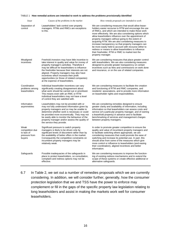#### TABLE 1 **How remedial actions are intended to work to address the problems provisionally identified**

| <i>Issue</i>                                                     | Causes of the problems in the market                                                                                                                                                                                                                                                                                                                                                                                                   | How remedy proposals are intended to work                                                                                                                                                                                                                                                                                                                                                                                                                                                                                                                                                                                                      |
|------------------------------------------------------------------|----------------------------------------------------------------------------------------------------------------------------------------------------------------------------------------------------------------------------------------------------------------------------------------------------------------------------------------------------------------------------------------------------------------------------------------|------------------------------------------------------------------------------------------------------------------------------------------------------------------------------------------------------------------------------------------------------------------------------------------------------------------------------------------------------------------------------------------------------------------------------------------------------------------------------------------------------------------------------------------------------------------------------------------------------------------------------------------------|
| Separation of<br>control                                         | Leaseholders' lack control over property<br>managers. RTMs and RMCs are exceptions<br>to this.                                                                                                                                                                                                                                                                                                                                         | We are considering measures that would allow lease-<br>holders easier recourse to RTM and encourage the use<br>of RMCs, and which are intended to make these work<br>more effectively. We are also considering options which<br>allow leaseholders influence over the appointment of<br>property managers without going to the extent of<br>acquiring RTM. We are also considering measures to<br>increase transparency so that property managers can<br>be more easily held to account with recourse either to<br>redress or means to allow leaseholders to influence<br>their freeholder, RTM or RMC to market test the<br>property manager. |
| Misaligned<br>incentives                                         | Freehold <i>investors</i> may have little incentive to<br>take interest in quality and value for money of<br>property manager's activities. Therefore it<br>may be difficult for leaseholders to influence<br>the freeholder because their interests are not<br>aligned. Property managers may also have<br>incentives which increase their profit<br>opportunities (or those of related companies)<br>at the expense of leaseholders. | We are considering measures that place greater control<br>with leaseholders. We are also considering measures<br>designed to provide greater transparency on certain<br>incentives such as fees and commissions on work done<br>and insurance, or on the use of related companies.                                                                                                                                                                                                                                                                                                                                                             |
| Coordination<br>problems among<br>leaseholders                   | Individual leaseholder incentives can vary<br>significantly creating disagreement about<br>what work should be carried out or prioritised.<br>This means even with an RMC or RTM<br>individual leaseholders may not have a level<br>of control they are satisfied with.                                                                                                                                                                | We are considering measures to facilitate the creation<br>and functioning of RTM and RMC companies, and<br>residents' associations, and to provide more information<br>on leaseholder rights and responsibilities.                                                                                                                                                                                                                                                                                                                                                                                                                             |
| Information<br>asymmetries                                       | Leaseholders may not be provided with or<br>may not fully understand information given by<br>property managers and so may be unable to<br>determine whether work is necessary or could<br>be provided more economically. They may not<br>be easily able to monitor the behaviour of the<br>property manager and/or assess the quality of<br>the service they provide.                                                                  | We are considering remedies designed to ensure<br>greater clarity and availability of information, including<br>information so that leaseholders can assess costs and<br>service (of a particular property manager, and of owning<br>a leasehold property) in advance and to facilitate<br>benchmarking of services and management charges<br>between property managers.                                                                                                                                                                                                                                                                       |
| Weak<br>competition due<br>to lack of<br>pressure from<br>buyers | Significant pressure to switch property<br>managers is likely to be driven only by<br>significant levels of discontent rather than by<br>the availability of better offers in the market.<br>Consequently the competitive constraints on<br>incumbent property managers may be<br>relatively weak.                                                                                                                                     | In order to promote greater competition to ensure the<br>quality and value of incumbent property managers and<br>to facilitate switching where appropriate, we are<br>considering measures that could promote the ease of<br>switching and increase its potential use. In part, this<br>should arise from some of the measures which give<br>more control or influence to leaseholders (and easing<br>their coordination), aligned incentives and better<br>information.                                                                                                                                                                       |
| Safeguards                                                       | Possible inadequacies of the safeguards in<br>place to protect leaseholders, so consultation,<br>complaint and redress options may not be<br>effective.                                                                                                                                                                                                                                                                                | We are considering measures to improve the function-<br>ing of existing redress mechanisms and to extend the<br>scope of these systems or create effective additional or<br>alternative safeguards.                                                                                                                                                                                                                                                                                                                                                                                                                                            |

6.7 In Table 2, we set out a number of remedies proposals which we are currently considering. In addition, we will consider further, generally, how the consumer protection legislation that we and TSS have the power to enforce may complement or fill in the gaps of the specific property law legislation relating to long leaseholders and assist in making the markets work well for consumer leaseholders.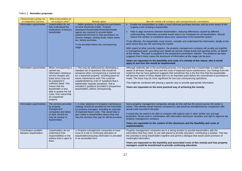#### TABLE 2 **Remedies proposals**

| Characteristics giving rise                  | What is the problem we                                                                                                                                                                                                                                                                  |                                                                                                                                                                                                                                                                                                                                                                                                             |                                                                                                                                                                                                                                                                                                                                                                                                                                                                                                                                                                                                                                                                                                                                                                                                                                                                                                                                                                                                                                                                                                                                  |
|----------------------------------------------|-----------------------------------------------------------------------------------------------------------------------------------------------------------------------------------------------------------------------------------------------------------------------------------------|-------------------------------------------------------------------------------------------------------------------------------------------------------------------------------------------------------------------------------------------------------------------------------------------------------------------------------------------------------------------------------------------------------------|----------------------------------------------------------------------------------------------------------------------------------------------------------------------------------------------------------------------------------------------------------------------------------------------------------------------------------------------------------------------------------------------------------------------------------------------------------------------------------------------------------------------------------------------------------------------------------------------------------------------------------------------------------------------------------------------------------------------------------------------------------------------------------------------------------------------------------------------------------------------------------------------------------------------------------------------------------------------------------------------------------------------------------------------------------------------------------------------------------------------------------|
| to competition concerns                      | are trying to solve?                                                                                                                                                                                                                                                                    | <b>Remedy option</b>                                                                                                                                                                                                                                                                                                                                                                                        | How the remedy will work/pros and cons/questions for consultation                                                                                                                                                                                                                                                                                                                                                                                                                                                                                                                                                                                                                                                                                                                                                                                                                                                                                                                                                                                                                                                                |
| Information asymmetries                      | Leaseholders do not<br>fully understand the<br>implications of being a<br>leaseholder                                                                                                                                                                                                   | 1. Better guidance to prospective purchasers<br>on what leasehold entails. Property<br>developers/leaseholder/freeholder/estate<br>agents are required to provide better<br>guidance/instruction to new purchasers on<br>service charges, sinking funds, future works<br>etc. before purchase.<br>To be provided before the conveyancing<br>stage.                                                          | Enable the leaseholders to make a more informed purchase decision and be more aware of the<br>ongoing costs of being a leaseholder.<br>Help to align incentives between leaseholders, reducing differences caused by different<br>understanding. Information provided would need to be consistent for all leaseholders. Should<br>reduce the number of complaints about poor awareness of the leasehold system.<br>To be effective, the leaseholder must receive, consider and understand the information, ideally at the<br>point where they are still searching the market.<br>With regard to what currently happens, the property management company will usually put together<br>a 'management pack', providing such details as service charge levels and pending works, on behalf<br>of the vendor. The pack is supplied to the prospective purchasers' solicitor. The evidence we have<br>suggests that in many cases the disclosure of information at this stage can be poor.<br>Views are requested on the feasibility and costs of a remedy of this nature, who it would<br>apply to and how this would be implemented. |
| Information asymmetries                      | When conveyancing is<br>carried out.<br>information relating to<br>service charges and<br>lease terms may not<br>be explained in<br>sufficient detail. This<br>means that the<br>leaseholder is less<br>able to assess the full<br>costs, from ownership<br>of a leasehold<br>property. | 2. This may be addressed by developing a<br>standard set of questions that should be<br>answered when conveyancing is carried out<br>for a leasehold property, including plans for<br>future maintenance work This could be<br>supplemented by a list of 'questions that a<br>leaseholder requires answered', that is<br>included in guidance provided to prospective<br>leaseholders, before conveyancing. | Although relatively late in the purchasing process, it is important that a leaseholder is made fully<br>aware of all lease charges, fees and the costs of expected future maintenance. Our findings from the<br>evidence that we have gathered suggests that sometimes this is the first time that the leaseholder<br>will become aware of these details and it is an important point before the commitment to purchase is<br>made. The issue may be more significant for low-cost conveyancing operations.<br>This might be combined with placing a specific duty to provide appropriate information.<br>Views are requested on the most practical way of achieving the remedy.                                                                                                                                                                                                                                                                                                                                                                                                                                                 |
| Information asymmetries                      | The services provided<br>by property<br>management<br>companies and detail<br>of work carried out<br>may be unclear to<br>leaseholders.                                                                                                                                                 | 3. A clear statement of property maintenance<br>strategy should be provided by the freeholder<br>(or property manager), including an estimate<br>of expected future costs. This would help to<br>give clarity to leaseholders about what and<br>how the services they pay for will be provided.                                                                                                             | Some property management companies already do this well but the picture across the sector is<br>mixed. This remedy would improve transparency and would be strengthened by comparison with<br>actual costs incurred in the past.<br>It would also be useful to be able to compare with typical costs in other similar size and age<br>properties. Would work in combination with information disclosure remedies and right to approve the<br>property management company.<br>Views are requested on the content of this disclosure and the feasibility and costs of<br>implementation.                                                                                                                                                                                                                                                                                                                                                                                                                                                                                                                                           |
| Coordination problem<br>between leaseholders | Leaseholders do not<br>understand their<br>responsibilities or the<br>redress that is open to<br>them.                                                                                                                                                                                  | 4. Property management companies to have<br>more of a role in continuing education of<br>leaseholders/ensuring information is provided<br>in an accessible form.                                                                                                                                                                                                                                            | Property management companies are in a strong position to provide leaseholders with the<br>information that they need, so are well placed to provide education, contributing a solution. This has<br>the potential to bring leaseholders together and permit a dialogue that would assist provision of<br>meaningful information.<br>Views are requested on the feasibility and associated costs of this remedy and how property<br>managers could be incentivised to provide continuing education.                                                                                                                                                                                                                                                                                                                                                                                                                                                                                                                                                                                                                              |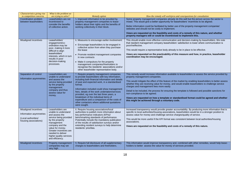| Characteristics giving rise<br>to competition concerns                                           | What is the problem we<br>are trying to solve?                                                                                                                                                                                                            | <b>Remedy option</b>                                                                                                                                                                                                                                                                                                                                                                                                                                                                                         | How the remedy will work/pros and cons/questions for consultation                                                                                                                                                                                                                                                                                                                                                                                                                                                                                                                                                                                                                   |
|--------------------------------------------------------------------------------------------------|-----------------------------------------------------------------------------------------------------------------------------------------------------------------------------------------------------------------------------------------------------------|--------------------------------------------------------------------------------------------------------------------------------------------------------------------------------------------------------------------------------------------------------------------------------------------------------------------------------------------------------------------------------------------------------------------------------------------------------------------------------------------------------------|-------------------------------------------------------------------------------------------------------------------------------------------------------------------------------------------------------------------------------------------------------------------------------------------------------------------------------------------------------------------------------------------------------------------------------------------------------------------------------------------------------------------------------------------------------------------------------------------------------------------------------------------------------------------------------------|
| Coordination problem<br>between leaseholders                                                     | Leaseholders are not<br>incentivised to<br>consider the benefits<br>of collective action.                                                                                                                                                                 | 5. Improved information to be provided by<br>property management companies to lease-<br>holders about their rights and the benefits of<br>working collectively in their block.                                                                                                                                                                                                                                                                                                                               | Some property management companies already do this well but the picture across the sector is<br>mixed. This would give a better opportunity for leaseholders' incentives to be aligned.<br>Better information could be facilitated by better use of the property management companies'<br>websites and should not be costly to implement.<br>Views are requested on the feasibility and costs of a remedy of this nature, and whether<br>property managers will or could be incentivised to implement this.                                                                                                                                                                         |
| Misaligned incentives                                                                            | Leaseholders'<br>engagement/co-<br>ordination may be<br>poor, making it more<br>difficult to align<br>leaseholders'<br>interests, which in turn<br>results in poor<br>decision-making<br>processes.                                                       | 6. Measures to encourage earlier involvement:<br>Encourage leaseholders to be engaged in<br>collective action from when they purchase<br>the lease<br>• Promote resident management companies<br>in new contracts<br>• Make it compulsory for the property<br>management companies/freeholders to<br>recognise the residents' associations and/or<br>other leaseholder representative body.                                                                                                                  | This should enable more effective communication and decision-making by leaseholders. We note<br>that resident management company leaseholders' satisfaction is lower where communication is<br>poor/ineffective.<br>This would require a representative body already to be in place to be effective.<br>Views are requested on the practicability of this measure and how, in practice, leaseholder<br>coordination may be encouraged.                                                                                                                                                                                                                                              |
| Separation of control<br>Information asymmetries                                                 | Leaseholders are<br>unable to understand<br>and assess the<br>service being provided<br>by the property<br>management<br>company and thus<br>assess value for<br>money.                                                                                   | 7. Require property management companies<br>to provide leaseholders with key information,<br>including both financial information and details<br>of past and expected work, in a standardised<br>format.<br>Information included could show management<br>fees, details of the work undertaken/services<br>provided, eg over the last three years, a<br>breakdown of the individual items of<br>expenditure and a comparison of the costs of<br>other contactors where additional quotations<br>were sought. | This remedy would increase information available to leaseholders to assess the service provided by<br>property management companies.<br>This would mitigate the effect of this feature of the market by enabling leaseholders to better assess<br>whether they are receiving value for money, and would enable leaseholders to challenge service<br>charges and management fees more easily.<br>Detail to be included, the process for ensuring the template is followed and possible sanctions for<br>non-compliance to be agreed.<br>Views are requested on how a template or standardised format could be agreed and whether<br>this might be achieved through a voluntary code. |
| Misaligned incentives<br>Information asymmetries<br>(Local authorities/<br>housing associations) | Leaseholders are<br>unable to understand<br>and assess the<br>service being provided<br>by the property<br>management<br>company and the<br>value for money.<br>Greater incentives are<br>needed to deliver<br>higher-quality services<br>and efficiency. | 8. Require housing associations/local<br>authorities to publish more information about<br>key performance indicators (KPIs)/<br>benchmarking standards of performance.<br>Potentially include the mandatory publication<br>of the results of satisfaction surveys and/or<br>extending resident surveys to help determine<br>residents' priorities.                                                                                                                                                           | Increased transparency would provide greater accountability. By producing more information that is<br>specific to local authorities/housing associations, leaseholders would be in a stronger position to<br>assess value for money and challenge service charges/quality of service.<br>This would be more useful if the KPI format was consistent between local authorities/housing<br>associations.<br>Views are requested on the feasibility and costs of a remedy of this nature.                                                                                                                                                                                              |
| Misaligned incentives                                                                            | Property management<br>companies may set<br>very high                                                                                                                                                                                                     | 9. Require full disclosure of all supplementary<br>charges to leaseholders and freeholders.                                                                                                                                                                                                                                                                                                                                                                                                                  | This information would improve transparency and, combined with other remedies, would help lease-<br>holders to better assess the value for money of services provided.                                                                                                                                                                                                                                                                                                                                                                                                                                                                                                              |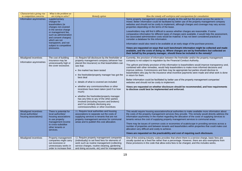| Characteristics giving rise                                           | What is the problem we                                                                                                                                                                                                                                                            |                                                                                                                                                                                                                                                                                                                                                                                                                                                                                                                                                                                                                            |                                                                                                                                                                                                                                                                                                                                                                                                                                                                                                                                                                                                                                                                                                                                                                                                                                                                                                                                                                                                                                                                                                                                                     |
|-----------------------------------------------------------------------|-----------------------------------------------------------------------------------------------------------------------------------------------------------------------------------------------------------------------------------------------------------------------------------|----------------------------------------------------------------------------------------------------------------------------------------------------------------------------------------------------------------------------------------------------------------------------------------------------------------------------------------------------------------------------------------------------------------------------------------------------------------------------------------------------------------------------------------------------------------------------------------------------------------------------|-----------------------------------------------------------------------------------------------------------------------------------------------------------------------------------------------------------------------------------------------------------------------------------------------------------------------------------------------------------------------------------------------------------------------------------------------------------------------------------------------------------------------------------------------------------------------------------------------------------------------------------------------------------------------------------------------------------------------------------------------------------------------------------------------------------------------------------------------------------------------------------------------------------------------------------------------------------------------------------------------------------------------------------------------------------------------------------------------------------------------------------------------------|
| to competition concerns<br>Information asymmetries                    | are trying to solve?<br>supplementary<br>charges for<br>leaseholders (ie<br>charges not covered<br>in the service charge<br>or management fee,<br>such as administration<br>and consent charges)<br>which are not<br>transparent, and not<br>subject to competitive<br>pressures. | <b>Remedy option</b>                                                                                                                                                                                                                                                                                                                                                                                                                                                                                                                                                                                                       | How the remedy will work/pros and cons/questions for consultation<br>Some property management companies already do this well but the picture across the sector is<br>mixed. Better information could be facilitated by better use of the property management company<br>websites and should not be costly to implement, although charges and coverage may vary across<br>properties depending on the terms of the lease.<br>Leaseholders may still find it difficult to assess whether charges are reasonable. If some<br>comparative information for different types of charges were available, it would help this assessment,<br>but associated administrative costs would be material. It has not been considered practical to<br>consider a database for this information.<br>Information would also need to be available at an early stage of the purchase process.<br>Views are requested on ways that such benchmark information might be collected and made<br>available, and the costs of doing so. Where charges are set by freeholders but collected on<br>their behalf by the property manager, should these be included in the remedy? |
| Misaligned incentives<br>Information asymmetries                      | The cost of building<br>insurance may be<br>unnecessarily high or<br>the cover excessive.                                                                                                                                                                                         | 10. Require full disclosure by the freeholder or<br>property management company (whoever has<br>placed the insurance) so that leaseholders can<br>see that:<br>• the market has been tested<br>• the freeholder/property manager has got the<br>best deal<br>• details of what is covered are included<br>• whether any commissions/fees or other<br>incentives have been taken (and if so how<br>much)<br>whether the freeholder/property manager<br>has any links to any of the other parties<br>involved (including insurers and brokers)<br>and if so similarly disclosing any<br>commissions/fees or other incentives | Currently, the provision of information between the freeholder and/or the property management<br>company is not subject to regulation by the Financial Conduct Authority.<br>The upfront and timely provision of this information to leaseholders would improve transparency and,<br>combined with other remedies, would help leaseholders to make more informed decisions and<br>improve redress. Commissions and fees may be appropriate but parties should disclose to<br>leaseholders who pay for the insurance what incentive payments were made and what work is done<br>in return for them.<br>Better information could be facilitated by better use of the property management companies'<br>websites and should not be costly to implement.<br>Views are requested on whether disclosure should be recommended, and how requirements<br>to disclose could best be implemented and enforced.                                                                                                                                                                                                                                                |
| Misaligned incentives<br>(local authorities/<br>housing associations) | There is potential for<br>local authorities/<br>housing associations<br>to use property<br>management income<br>to cross-subsidise<br>other tenants or<br>services.                                                                                                               | 11. Require local authorities and housing<br>associations to separate out the costs of<br>supplying services to tenants that are not<br>property management services for communal<br>areas and to publish this cost allocation.                                                                                                                                                                                                                                                                                                                                                                                            | This would require housing associations/local authorities to make available more information about<br>the costs of the property management services they provide. This remedy would directly address the<br>information asymmetry in the market regarding the allocation of the costs of supplying services to<br>tenants versus the cost of supplying property management services to communal areas.<br>There may be issues of common costs or economies of scale/scope in providing services across a<br>number of properties and between tenants and leaseholders within properties that could make cost<br>allocation very difficult and costly to achieve.<br>Views are requested on the practicability and cost of requiring such disclosure.                                                                                                                                                                                                                                                                                                                                                                                                |
| Misaligned incentives                                                 | Property management<br>companies might carry<br>out excessive or<br>unnecessary works in<br>order to increase their                                                                                                                                                               | 12. Require property management companies<br>(individually) to set fixed fees for elements of<br>work such as routine management (collecting<br>service charges, routine cleaning, gardening<br>and doing accounts, etc) and for management                                                                                                                                                                                                                                                                                                                                                                                | One of the existing industry codes provides that where there is a service charge, basic fees are<br>usually quoted as a fixed fee rather than a percentage. However, there are also exemptions from<br>these provisions in the code that allow extra fees to be charged, and this includes works.                                                                                                                                                                                                                                                                                                                                                                                                                                                                                                                                                                                                                                                                                                                                                                                                                                                   |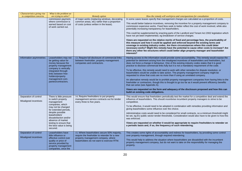| Characteristics giving rise<br>to competition concerns | What is the problem we<br>are trying to solve?                                                                                                                                                                                                                                       | Remedy option                                                                                                                                                                  | How the remedy will work/pros and cons/questions for consultation                                                                                                                                                                                                                                                                                                                                                                                                                                                                                                                                                                                                                                                                                                                                                                                                                                                                                                                                                                                                              |
|--------------------------------------------------------|--------------------------------------------------------------------------------------------------------------------------------------------------------------------------------------------------------------------------------------------------------------------------------------|--------------------------------------------------------------------------------------------------------------------------------------------------------------------------------|--------------------------------------------------------------------------------------------------------------------------------------------------------------------------------------------------------------------------------------------------------------------------------------------------------------------------------------------------------------------------------------------------------------------------------------------------------------------------------------------------------------------------------------------------------------------------------------------------------------------------------------------------------------------------------------------------------------------------------------------------------------------------------------------------------------------------------------------------------------------------------------------------------------------------------------------------------------------------------------------------------------------------------------------------------------------------------|
|                                                        | commission payment,<br>where commission is<br>earned based on cost<br>of work carried out.                                                                                                                                                                                           | of major works (replacing windows, decorating<br>common areas, etc) rather than a proportion<br>of costs (unless written in the lease).                                        | In some cases leases specify that management charges are calculated as a proportion of costs.<br>This would better balance incentives, removing the incentive for a property management company to<br>commission expensive works. Fixed fees seek to better reflect the cost of work involved, while also<br>potentially increasing transparency for leaseholders.<br>This could be supplemented by enacting parts of the Landlord and Tenant Act 2002 legislation which<br>have not yet been implemented, eg breakdown of service charges.<br>Views are requested on the relative merits of fixed and percentage fees, the practicability of<br>this measure and how it could be applied and enforced beyond the existing terms and<br>coverage in existing industry codes. Are there circumstances where this could deter<br>necessary works? Might this remedy have the potential to cause other costs to increase? Are<br>there any other fee structures which could better align property manager and leaseholder<br>interests?                                           |
| Information asymmetries                                | Leaseholders may not<br>be getting value for<br>money because the<br>property management<br>company is vertically<br>integrated through<br>links between free-<br>holders/property<br>management com-<br>panies/contractors.                                                         | 13. Require full disclosure of commercial links<br>between freeholder, property management<br>companies and contractors.                                                       | Having access to the information would provide some accountability. This remedy would expose the<br>potential for detriment arising from the misaligned incentives of leaseholders and freeholders, but<br>does not force a change in behaviour. One of the existing industry codes states that it is good<br>practice to disclose commercial links fully but it is not a mandatory requirement of the code.<br>To be effective, this remedy would need to work with other remedies for dispute resolution, or<br>leaseholders would be unable to take action. The property management company might be<br>requested to show that costs are no more than if using an unrelated company.<br>An alternative remedy would be to prohibit property management companies from having links to the<br>freeholder or contractors, though this is thought to go too far as it would prevent efficiency benefits<br>that can arise (see Appendix A).<br>Views are requested on the form and adequacy of the disclosure proposed and how this can<br>build on existing code obligations. |
| Separation of control<br>Misaligned incentives         | There is little pressure<br>to switch property<br>management<br>companies, which<br>may not be changed<br>for extended periods,<br>despite possible<br>leaseholders'<br>dissatisfaction and/or<br>absence of market<br>testing to ensure that<br>the best value is being<br>secured. | 14. Require freeholders to put property<br>management service contracts out for tender<br>every three to five years.                                                           | This would ensure that freeholders periodically test the market for a competitive deal and extend the<br>influence of leaseholders. This should incentivise incumbent property managers to strive to be<br>competitive.<br>To be effective, it would need to be adopted in combination with remedies providing information and<br>giving leaseholders some influence over the choice.<br>Administrative costs would need to be considered for small contracts, so a minimum threshold might<br>be set, eg EU public sector tender thresholds. Consideration would also have to be given to how this<br>was enforced.<br>Views are requested on whether it would be appropriate to require freeholders to retender on<br>a periodic basis and, if so, the frequency of such retendering.                                                                                                                                                                                                                                                                                        |
| Separation of control<br>Misaligned incentives         | Leaseholders have<br>little influence or<br>effective control over<br>quality or price of<br>service provided by<br>property management<br>companies, once the                                                                                                                       | 15. Where leaseholders secure 50% majority,<br>require the freeholder to retender for a new<br>property management company, where<br>leaseholders do not want to exercise RTM. | This creates some rights of accountability and redress for leaseholders, by providing some control<br>over property management, through required retendering.<br>This would help to address the situation where leaseholders are dissatisfied with the incumbent<br>property management company, but do not want to take on the responsibility for managing the<br>property.                                                                                                                                                                                                                                                                                                                                                                                                                                                                                                                                                                                                                                                                                                   |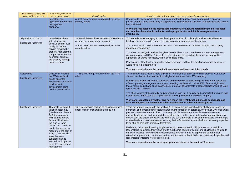| Characteristics giving rise<br>to competition concerns | What is the problem we<br>are trying to solve?                                                                                                                                                                                                 | <b>Remedy option</b>                                                                     | How the remedy will work/pros and cons/questions for consultation                                                                                                                                                                                                                                                                                                                                                                                                                                                                                                                                                                                                                                                                                                                                                                                                                         |
|--------------------------------------------------------|------------------------------------------------------------------------------------------------------------------------------------------------------------------------------------------------------------------------------------------------|------------------------------------------------------------------------------------------|-------------------------------------------------------------------------------------------------------------------------------------------------------------------------------------------------------------------------------------------------------------------------------------------------------------------------------------------------------------------------------------------------------------------------------------------------------------------------------------------------------------------------------------------------------------------------------------------------------------------------------------------------------------------------------------------------------------------------------------------------------------------------------------------------------------------------------------------------------------------------------------------|
|                                                        | freeholder has<br>appointed the property<br>management<br>company.                                                                                                                                                                             | A 50% majority would be required, as in the<br>remedy above.                             | One issue to decide would be the frequency of retendering that could be required; a minimum<br>period, perhaps three years, may be appropriate. The additional cost from retendering would need to<br>be considered.<br>Views are requested on the appropriate frequency for allowing retendering to be requested<br>and whether there should be limits on the properties for which this arrangement was<br>introduced.                                                                                                                                                                                                                                                                                                                                                                                                                                                                   |
|                                                        |                                                                                                                                                                                                                                                |                                                                                          |                                                                                                                                                                                                                                                                                                                                                                                                                                                                                                                                                                                                                                                                                                                                                                                                                                                                                           |
| Separation of control                                  | Leaseholders have<br>little influence or                                                                                                                                                                                                       | 16. Permit leaseholders to veto/approve choice<br>of property management companies.      | This remedy would not apply to new developments. It would only apply in situations where the<br>freeholder is proposing to change the existing property management company.                                                                                                                                                                                                                                                                                                                                                                                                                                                                                                                                                                                                                                                                                                               |
| Misaligned incentives                                  | effective control over<br>quality or price of<br>service provided by<br>property management<br>companies, where the<br>freeholder appoints<br>the property manage-                                                                             | A 50% majority would be required, as in the<br>remedy below.                             | The remedy would need to be combined with other measures to facilitate changing the property<br>management company.                                                                                                                                                                                                                                                                                                                                                                                                                                                                                                                                                                                                                                                                                                                                                                       |
|                                                        |                                                                                                                                                                                                                                                |                                                                                          | This does not realign incentives but gives leaseholders some control over property management,<br>without requiring full RTM. This could be strengthened by extending the power of approval to<br>agreement on works necessary, within designated limits.                                                                                                                                                                                                                                                                                                                                                                                                                                                                                                                                                                                                                                 |
|                                                        | ment company.                                                                                                                                                                                                                                  |                                                                                          | Practicalities of the level of support to achieve change and how the mechanism would be initiated<br>would need to be determined.                                                                                                                                                                                                                                                                                                                                                                                                                                                                                                                                                                                                                                                                                                                                                         |
|                                                        |                                                                                                                                                                                                                                                |                                                                                          | Views are requested on the practicality and reasonableness of this remedy.                                                                                                                                                                                                                                                                                                                                                                                                                                                                                                                                                                                                                                                                                                                                                                                                                |
| Safeguards<br><b>Misaligned incentives</b>             | Difficulty in reaching<br>the RTM threshold,                                                                                                                                                                                                   | 17. This would require a change in the RTM<br>rules.                                     | This change should make it more difficult for freeholders to obstruct the RTM process. Our survey<br>showed that leaseholder satisfaction is higher where there is an RTM company.                                                                                                                                                                                                                                                                                                                                                                                                                                                                                                                                                                                                                                                                                                        |
|                                                        | due to absentee<br>leaseholders and 25%<br>retail space in<br>development being<br>used to prevent RTM.                                                                                                                                        |                                                                                          | Not all leaseholders will wish to participate and may prefer to leave things as they are or appoint a<br>different property management company. Lowering the threshold below 50% of those eligible (or<br>those voting) could harm such leaseholders' interests. The interests of leaseholders/tenants of retail<br>space are also relevant.                                                                                                                                                                                                                                                                                                                                                                                                                                                                                                                                              |
|                                                        |                                                                                                                                                                                                                                                |                                                                                          | The effectiveness of the remedy would depend on take-up. It would also be important to ensure that<br>leaseholders understood the responsibilities of being a director in an RTM company.                                                                                                                                                                                                                                                                                                                                                                                                                                                                                                                                                                                                                                                                                                 |
|                                                        |                                                                                                                                                                                                                                                |                                                                                          | Views are requested on whether and how much the RTM threshold should be changed and<br>how to safeguard the interests of other leaseholders or other interested parties.                                                                                                                                                                                                                                                                                                                                                                                                                                                                                                                                                                                                                                                                                                                  |
| Misaligned incentives                                  | Threshold for consul-<br>tation in section 20<br>(Landlord and Tenant<br>Act) does not work<br>well: can be too low<br>for small blocks and<br>too high for large<br>blocks. Also needs to<br>rise in line with some<br>measure of the cost of | 18. Review/revise section 20 re circumstances<br>under which consultations are required. | There are various issues with the section 20 process, limiting leaseholders' ability to influence the<br>behaviour of the freeholder/property management company. In particular, the section 20 consultation<br>process is cumbersome and time consuming; the dispensation process is also cumbersome,<br>especially where the work is urgent; leaseholders have rights to consultation but are not given any<br>control over the extent or costs of the works; the £250 threshold is low and/or inflexible and the right<br>of leaseholders to nominate contractors may be ineffective as they may lack the necessary expertise<br>to be able to nominate credible alternatives.<br>Revisions, including addressing loopholes, would make the section 20 process more useful for<br>leaseholders to express their views and to exert some degree of control and challenge in relation to |
|                                                        | living. There are also<br>ways that con-<br>sultations can be                                                                                                                                                                                  |                                                                                          | the costs incurred. There may be circumstances in which it may be appropriate to forgo a full<br>consultation procedure, but it would be important to ensure that this did not create any loopholes and<br>leaseholders' interests were still protected.                                                                                                                                                                                                                                                                                                                                                                                                                                                                                                                                                                                                                                  |
|                                                        | avoided via loopholes,<br>eg by the exclusion of<br>management                                                                                                                                                                                 |                                                                                          | Views are requested on the most appropriate revisions to the section 20 process.                                                                                                                                                                                                                                                                                                                                                                                                                                                                                                                                                                                                                                                                                                                                                                                                          |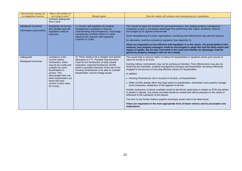| Characteristics giving rise                      | What is the problem we                                                                                                                                                                                                                                |                                                                                                                                                                                                                                                                                                                        |                                                                                                                                                                                                                                                                                                                                                                                                                                                                                                                                                                                                                                                                                                                                                                                                                                                                                                                                                                                                                                                                                                                             |
|--------------------------------------------------|-------------------------------------------------------------------------------------------------------------------------------------------------------------------------------------------------------------------------------------------------------|------------------------------------------------------------------------------------------------------------------------------------------------------------------------------------------------------------------------------------------------------------------------------------------------------------------------|-----------------------------------------------------------------------------------------------------------------------------------------------------------------------------------------------------------------------------------------------------------------------------------------------------------------------------------------------------------------------------------------------------------------------------------------------------------------------------------------------------------------------------------------------------------------------------------------------------------------------------------------------------------------------------------------------------------------------------------------------------------------------------------------------------------------------------------------------------------------------------------------------------------------------------------------------------------------------------------------------------------------------------------------------------------------------------------------------------------------------------|
| to competition concerns                          | are trying to solve?<br>contracts lasting less                                                                                                                                                                                                        | <b>Remedy option</b>                                                                                                                                                                                                                                                                                                   | How the remedy will work/pros and cons/questions for consultation                                                                                                                                                                                                                                                                                                                                                                                                                                                                                                                                                                                                                                                                                                                                                                                                                                                                                                                                                                                                                                                           |
|                                                  | than a year.                                                                                                                                                                                                                                          |                                                                                                                                                                                                                                                                                                                        |                                                                                                                                                                                                                                                                                                                                                                                                                                                                                                                                                                                                                                                                                                                                                                                                                                                                                                                                                                                                                                                                                                                             |
| Misaligned incentives<br>Information asymmetries | Standards can be low<br>and variable and self-<br>regulation could be<br>improved.                                                                                                                                                                    | 19. Greater self-regulation by property<br>management companies to improve<br>understanding and transparency. Encourage<br>membership of ARMA-Q/RICS or other<br>statutory/non-statutory self-regulatory<br>schemes or codes.                                                                                          | This should increase the incentive for good performance, thus helping property management<br>companies to gain a competitive advantage from performing well. Higher standards could be<br>encouraged by an agreed scheme/code.<br>Some strengthening of current organisations' monitoring and enforcement may also be required.<br>An alternative could be compulsory regulation (see Appendix A).<br>Views are requested on how effective self-regulation is in this sector, the practicability of this<br>measure, how property managers could be encouraged to adopt this and the likely extent and<br>impact of uptake. We are also interested in the costs and whether an advantage could be<br>gained by property managers who do not comply.                                                                                                                                                                                                                                                                                                                                                                         |
| Safeguards<br>Misaligned incentives              | Limitations of the<br>current redress<br>mechanism, which<br>may be too costly and<br>complex for some<br>leaseholders to<br>access. This<br>discourages their use<br>when leaseholders are<br>faced with poor<br>service or poor value<br>for money. | 20. There needs to be a cheaper and quicker<br>alternative to FTT. Possible improvements<br>could be the introduction of early neutral<br>evaluation, improved funding for LEASE<br>and/or a possible extension of the role of the<br>Housing Ombudsman to be able to consider<br>leaseholders' service charge issues. | This would help to improve rights of redress for leaseholders in situations where poor service or<br>value for money is an issue.<br>Existing redress mechanisms may not be working as intended. Their effectiveness may also be<br>limited by the freeholder, property management company and leaseholder not being sufficiently<br>engaged in the process of securing effective redress for leaseholders.<br>In addition:<br>• Housing Ombudsman role is focused on tenants, not leaseholders.<br>• While LEASE already offers free legal advice to leaseholders, freeholders and property manage-<br>ment companies, awareness of this appears to be low.<br>Greater awareness of advice available would be beneficial, particularly in relation to RTM and advice<br>to parties in dispute. Any advice provided should be neutral and without prejudice to the merits or<br>otherwise of the substance of the dispute.<br>The form of any further redress systems necessary would need to be determined.<br>Views are requested on the most appropriate form of faster redress and its associated cost<br>implications. |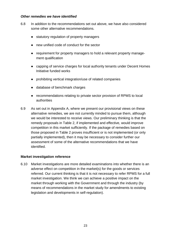## *Other remedies we have identified*

- 6.8 In addition to the recommendations set out above, we have also considered some other alternative recommendations.
	- statutory regulation of property managers
	- new unified code of conduct for the sector
	- requirement for property managers to hold a relevant property management qualification
	- capping of service charges for local authority tenants under Decent Homes Initiative funded works
	- prohibiting vertical integration/use of related companies
	- database of benchmark charges
	- recommendations relating to private sector provision of RPMS to local authorities
- 6.9 As set out in Appendix A, where we present our provisional views on these alternative remedies, we are not currently minded to pursue them, although we would be interested to receive views. Our preliminary thinking is that the remedy proposals in Table 2, if implemented and effective, would improve competition in this market sufficiently. If the package of remedies based on those proposed in Table 2 proves insufficient or is not implemented (or only partially implemented), then it may be necessary to consider further our assessment of some of the alternative recommendations that we have identified.

## **Market investigation reference**

6.10 Market investigations are more detailed examinations into whether there is an adverse effect on competition in the market(s) for the goods or services referred. Our current thinking is that it is not necessary to refer RPMS for a full market investigation. We think we can achieve a positive impact on the market through working with the Government and through the industry (by means of recommendations in the market study for amendments to existing legislation and developments in self-regulation).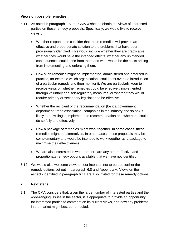## **Views on possible remedies**

- 6.11 As noted in paragraph 1.5, the CMA wishes to obtain the views of interested parties on these remedy proposals. Specifically, we would like to receive views on:
	- Whether respondents consider that these remedies will provide an effective and proportionate solution to the problems that have been provisionally identified. This would include whether they are practicable, whether they would have the intended effects, whether any unintended consequences could arise from them and what would be the costs arising from implementing and enforcing them.
	- How such remedies might be implemented, administered and enforced in practice, for example which organisations could best oversee introduction of a particular remedy and then monitor it. We are particularly keen to receive views on whether remedies could be effectively implemented through voluntary and self-regulatory measures, or whether they would require primary or secondary legislation to be effective.
	- Whether the recipient of the recommendation (be it a government department, trade association, companies in the industry and so on) is likely to be willing to implement the recommendation and whether it could do so fully and effectively.
	- How a package of remedies might work together. In some cases, these remedies might be alternatives. In other cases, these proposals may be complementary and would be intended to work together as a package to maximise their effectiveness.
	- We are also interested in whether there are any other effective and proportionate remedy options available that we have not identified.
- 6.12 We would also welcome views on our intention not to pursue further the remedy options set out in paragraph 6.8 and Appendix A. Views on the aspects identified in paragraph 6.11 are also invited for these remedy options.

## **7. Next steps**

7.1 The CMA considers that, given the large number of interested parties and the wide-ranging issues in the sector, it is appropriate to provide an opportunity for interested parties to comment on its current views, and how any problems in the market might best be remedied.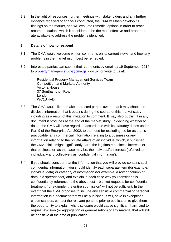7.2 In the light of responses, further meetings with stakeholders and any further evidence received or analysis conducted, the CMA will then develop its findings on the market, and will evaluate remedial options in order to reach recommendations which it considers to be the most effective and proportionate available to address the problems identified.

## **8. Details of how to respond**

- 8.1 The CMA would welcome written comments on its current views, and how any problems in the market might best be remedied.
- 8.2 Interested parties can submit their comments by email by 19 September 2014 to [propertymanagers.study@cma.gsi.gov.uk,](mailto:propertymanagers.study@cma.gsi.gov.uk) or write to us at:

Residential Property Management Services Team Competition and Markets Authority Victoria House 37 Southampton Row London WC1B 4AD

- 8.3 The CMA would like to make interested parties aware that it may choose to disclose information that it obtains during the course of this market study, including as a result of this invitation to comment. It may also publish it in any document it produces at the end of the market study. In deciding whether to do so, the CMA will have regard, in accordance with its statutory duties under Part 9 of the Enterprise Act 2002, to the need for excluding, so far as that is practicable, any commercial information relating to a business or any information relating to the private affairs of an individual which, if published, the CMA thinks might significantly harm the legitimate business interests of that business or, as the case may be, the individual's interests (referred to individually and collectively as 'confidential information').
- 8.4 If you should consider that the information that you will provide contains such confidential information, you should identify each separate item (for example, individual data) or category of information (for example, a row or column of data in a spreadsheet) and explain in each case why you consider it is confidential by reference to the above test – blanket requests for confidential treatment (for example, the entire submission) will not be sufficient. In the event that the CMA proposes to include any sensitive commercial or personal information in a document that will be published, it will, save in exceptional circumstances, contact the relevant persons prior to publication to give them the opportunity to explain why disclosure would cause significant harm and to request excision (or aggregation or generalisation) of any material that will still be sensitive at the time of publication.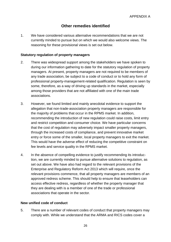# **Other remedies identified**

1. We have considered various alternative recommendations that we are not currently minded to pursue but on which we would also welcome views. The reasoning for these provisional views is set out below.

## **Statutory regulation of property managers**

- 2. There was widespread support among the stakeholders we have spoken to during our information gathering to date for the statutory regulation of property managers. At present, property managers are not required to be members of any trade association, be subject to a code of conduct or to hold any form of professional property-management-related qualification. Regulation is seen by some, therefore, as a way of driving up standards in the market, especially among those providers that are not affiliated with one of the main trade associations.
- 3. However, we found limited and mainly anecdotal evidence to support the allegation that non-trade-association property managers are responsible for the majority of problems that occur in the RPMS market. In addition, recommending the introduction of new regulation could raise costs, limit entry and restrict competition and consumer choice. We have particular concerns that the cost of regulation may adversely impact smaller property managers, through the increased costs of compliance, and prevent innovative market entry or force some of the smaller, local property managers to exit the market. This would have the adverse effect of reducing the competitive constraint on fee levels and service quality in the RPMS market.
- 4. In the absence of compelling evidence to justify recommending its introduction, we are currently minded to pursue alternative solutions to regulation, as set out above. We have also had regard to the relevant provisions of the Enterprise and Regulatory Reform Act 2013 which will require, once the relevant provisions commence, that all property managers are members of an approved redress scheme. This should help to ensure that leaseholders can access effective redress, regardless of whether the property manager that they are dealing with is a member of one of the trade or professional associations that operate in the sector.

## **New unified code of conduct**

5. There are a number of relevant codes of conduct that property managers may comply with. While we understand that the ARMA and RICS codes cover a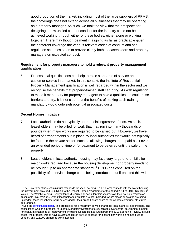good proportion of the market, including most of the large suppliers of RPMS, their coverage does not extend across all businesses that may be operating as a property manager. As such, we took the view that the prospects for designing a new unified code of conduct for the industry could not be achieved working through either of these bodies, either alone or working together. There may though be merit in aligning as far as practicable given their different coverage the various relevant codes of conduct and selfregulation schemes so as to provide clarity both to leaseholders and property managers on expected conduct.

## **Requirement for property managers to hold a relevant property management qualification**

6. Professional qualifications can help to raise standards of service and customer service in a market. In this context, the Institute of Residential Property Management qualification is well regarded within the sector and we recognise the benefits that properly-trained staff can bring. As with regulation, to make it mandatory for property managers to hold a qualification could raise barriers to entry. It is not clear that the benefits of making such training mandatory would outweigh potential associated costs.

## **Decent Homes Initiative**

- 7. Local authorities do not typically operate sinking/reserve funds. As such, leaseholders may be billed for work that may run into many thousands of pounds when major works are required to be carried out. However, we have heard of arrangements put in place by local authorities that would not typically be found in the private sector, such as allowing charges to be paid back over an extended period of time or for payment to be deferred until the sale of the property.
- 8. Leaseholders in local authority housing may face very large one-off bills for major works required because the housing development or property needs to be brought up to an appropriate standard.<sup>12</sup> DCLG has consulted on the possibility of a service charge cap <sup>13</sup> being introduced, but if enacted this will

<sup>&</sup>lt;sup>12</sup> The Government has set minimum standards for social housing. To help local councils with the worst housing, the Government provided £1.6 billion to the Decent Homes programme for the period 2011 to 2015. Similarly, in Wales, The Welsh Housing Quality Standard requires all social landlords to improve their housing stock to an acceptable level by 2020. Even if leaseholders' own flats are not upgraded, where blocks or estates are being upgraded, those leaseholders will be charged for their proportionate share of the work to communal structures and facilities.

<sup>&</sup>lt;sup>13</sup> See th[e consultation paper.](https://www.gov.uk/government/uploads/system/uploads/attachment_data/file/248647/Protecting_Local_Authority_Leaseholders_From_Unreasonable_Charges_v2.pdf) The proposal is for a maximum service charge for local authority leaseholders. The consultation was on a proposal to update Mandatory Directions to councils to cover central government funding for repair, maintenance or improvement, including Decent Homes Grant from the 2013 Spending Review. In such cases, the proposal was to have a £10,000 cap on service charges for leaseholder works on homes outside London, and £15,000 on homes within London.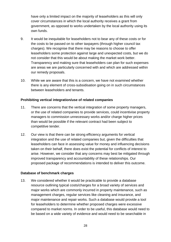have only a limited impact on the majority of leaseholders as this will only cover circumstances in which the local authority receives a grant from government, as opposed to works undertaken by the local authority using its own funds.

- 9. It would be inequitable for leaseholders not to bear any of these costs or for the costs to be passed on to other taxpayers (through higher council tax charges). We recognise that there may be reasons to choose to offer leaseholders some protection against large and unexpected costs, but we do not consider that this would be about making the market work better. Transparency and making sure that leaseholders can plan for such expenses are areas we are particularly concerned with and which are addressed within our remedy proposals.
- 10. While we are aware that this is a concern, we have not examined whether there is any element of cross-subsidisation going on in such circumstances between leaseholders and tenants.

## **Prohibiting vertical integration/use of related companies**

- 11. There are concerns that the vertical integration of some property managers, or the use of related companies to provide services, could incentivise property managers to commission unnecessary works and/or charge higher prices than would be possible if the relevant contract had been subject to competitive tender.
- 12. Our view is that there can be strong efficiency arguments for vertical integration and the use of related companies but, given the difficulties that leaseholders can face in assessing value for money and influencing decisions taken on their behalf, there does exist the potential for conflicts of interest to arise. However, we consider that any concerns may best be mitigated through improved transparency and accountability of these relationships. Our proposed package of recommendations is intended to deliver this outcome.

## **Database of benchmark charges**

13. We considered whether it would be practicable to provide a database resource outlining typical costs/charges for a broad variety of services and major works which are commonly incurred in property maintenance, such as management charges, regular services like cleaning and insurance, and major maintenance and repair works. Such a database would provide a tool for leaseholders to determine whether proposed charges were excessive compared to market norms. In order to be useful, this database would need to be based on a wide variety of evidence and would need to be searchable in